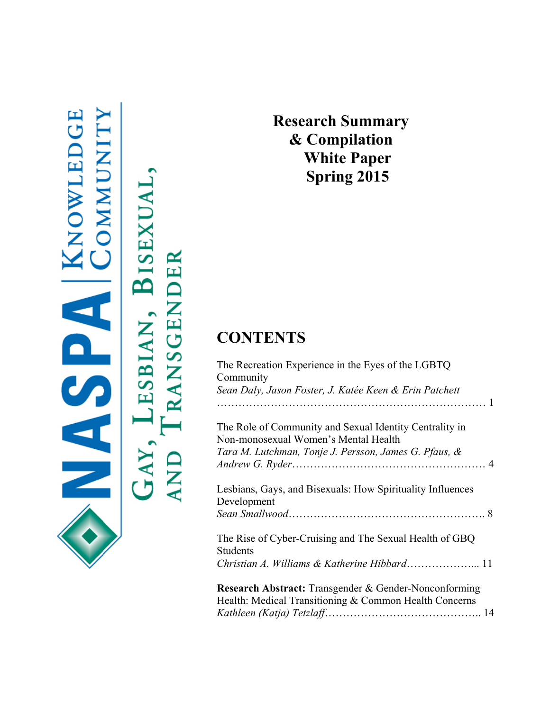

BISEXUA TRANSGENDER LESBIAN,  $\mathbf{GAY},$ **AND** 

**Research Summary & Compilation White Paper Spring 2015**

## **CONTENTS**

| The Recreation Experience in the Eyes of the LGBTQ<br>Community                                                 |
|-----------------------------------------------------------------------------------------------------------------|
| Sean Daly, Jason Foster, J. Katée Keen & Erin Patchett                                                          |
|                                                                                                                 |
| The Role of Community and Sexual Identity Centrality in<br>Non-monosexual Women's Mental Health                 |
| Tara M. Lutchman, Tonje J. Persson, James G. Pfaus, &                                                           |
| Lesbians, Gays, and Bisexuals: How Spirituality Influences<br>Development                                       |
|                                                                                                                 |
| The Rise of Cyber-Cruising and The Sexual Health of GBQ<br><b>Students</b>                                      |
|                                                                                                                 |
| Research Abstract: Transgender & Gender-Nonconforming<br>Health: Medical Transitioning & Common Health Concerns |
|                                                                                                                 |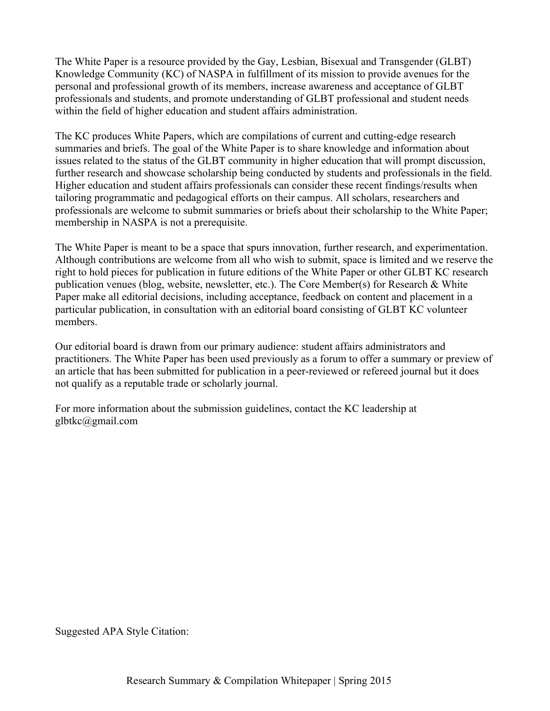The White Paper is a resource provided by the Gay, Lesbian, Bisexual and Transgender (GLBT) Knowledge Community (KC) of NASPA in fulfillment of its mission to provide avenues for the personal and professional growth of its members, increase awareness and acceptance of GLBT professionals and students, and promote understanding of GLBT professional and student needs within the field of higher education and student affairs administration.

The KC produces White Papers, which are compilations of current and cutting-edge research summaries and briefs. The goal of the White Paper is to share knowledge and information about issues related to the status of the GLBT community in higher education that will prompt discussion, further research and showcase scholarship being conducted by students and professionals in the field. Higher education and student affairs professionals can consider these recent findings/results when tailoring programmatic and pedagogical efforts on their campus. All scholars, researchers and professionals are welcome to submit summaries or briefs about their scholarship to the White Paper; membership in NASPA is not a prerequisite.

The White Paper is meant to be a space that spurs innovation, further research, and experimentation. Although contributions are welcome from all who wish to submit, space is limited and we reserve the right to hold pieces for publication in future editions of the White Paper or other GLBT KC research publication venues (blog, website, newsletter, etc.). The Core Member(s) for Research & White Paper make all editorial decisions, including acceptance, feedback on content and placement in a particular publication, in consultation with an editorial board consisting of GLBT KC volunteer members.

Our editorial board is drawn from our primary audience: student affairs administrators and practitioners. The White Paper has been used previously as a forum to offer a summary or preview of an article that has been submitted for publication in a peer-reviewed or refereed journal but it does not qualify as a reputable trade or scholarly journal.

For more information about the submission guidelines, contact the KC leadership at glbtkc@gmail.com

Suggested APA Style Citation: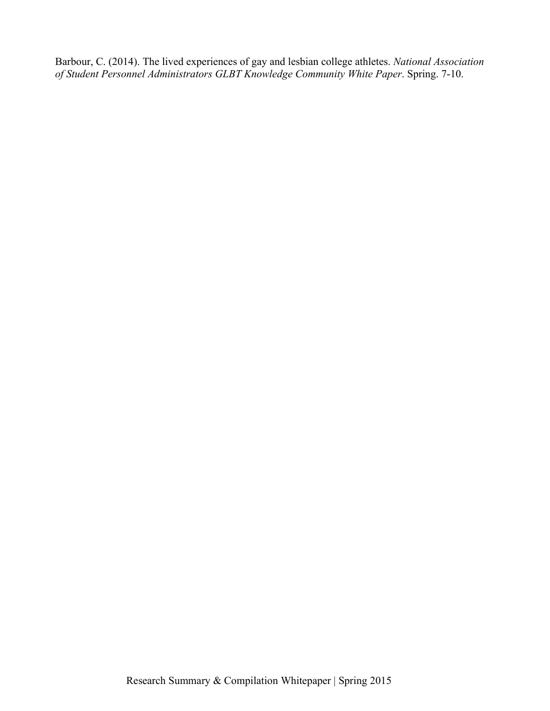Barbour, C. (2014). The lived experiences of gay and lesbian college athletes. *National Association of Student Personnel Administrators GLBT Knowledge Community White Paper*. Spring. 7-10.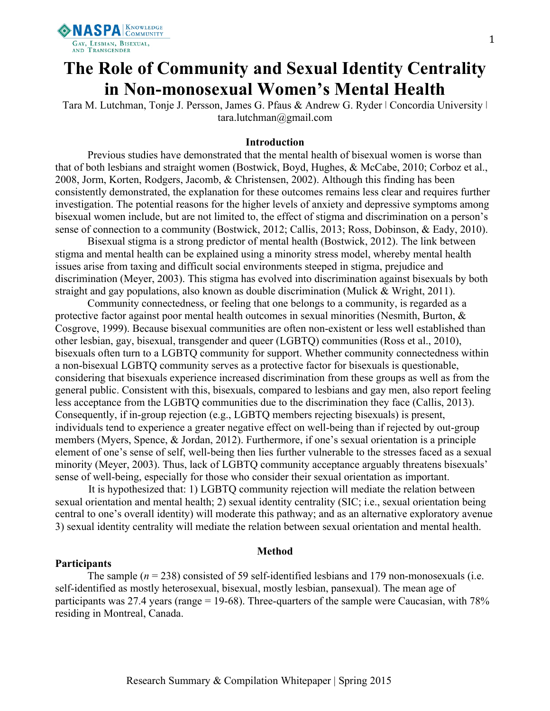

# **The Role of Community and Sexual Identity Centrality in Non-monosexual Women's Mental Health**

Tara M. Lutchman, Tonje J. Persson, James G. Pfaus & Andrew G. Ryder | Concordia University | tara.lutchman@gmail.com

#### **Introduction**

Previous studies have demonstrated that the mental health of bisexual women is worse than that of both lesbians and straight women (Bostwick, Boyd, Hughes, & McCabe, 2010; Corboz et al., 2008, Jorm, Korten, Rodgers, Jacomb, & Christensen, 2002). Although this finding has been consistently demonstrated, the explanation for these outcomes remains less clear and requires further investigation. The potential reasons for the higher levels of anxiety and depressive symptoms among bisexual women include, but are not limited to, the effect of stigma and discrimination on a person's sense of connection to a community (Bostwick, 2012; Callis, 2013; Ross, Dobinson, & Eady, 2010).

Bisexual stigma is a strong predictor of mental health (Bostwick, 2012). The link between stigma and mental health can be explained using a minority stress model, whereby mental health issues arise from taxing and difficult social environments steeped in stigma, prejudice and discrimination (Meyer, 2003). This stigma has evolved into discrimination against bisexuals by both straight and gay populations, also known as double discrimination (Mulick & Wright, 2011).

Community connectedness, or feeling that one belongs to a community, is regarded as a protective factor against poor mental health outcomes in sexual minorities (Nesmith, Burton, & Cosgrove, 1999). Because bisexual communities are often non-existent or less well established than other lesbian, gay, bisexual, transgender and queer (LGBTQ) communities (Ross et al., 2010), bisexuals often turn to a LGBTQ community for support. Whether community connectedness within a non-bisexual LGBTQ community serves as a protective factor for bisexuals is questionable, considering that bisexuals experience increased discrimination from these groups as well as from the general public. Consistent with this, bisexuals, compared to lesbians and gay men, also report feeling less acceptance from the LGBTQ communities due to the discrimination they face (Callis, 2013). Consequently, if in-group rejection (e.g., LGBTQ members rejecting bisexuals) is present, individuals tend to experience a greater negative effect on well-being than if rejected by out-group members (Myers, Spence, & Jordan, 2012). Furthermore, if one's sexual orientation is a principle element of one's sense of self, well-being then lies further vulnerable to the stresses faced as a sexual minority (Meyer, 2003). Thus, lack of LGBTQ community acceptance arguably threatens bisexuals' sense of well-being, especially for those who consider their sexual orientation as important.

It is hypothesized that: 1) LGBTQ community rejection will mediate the relation between sexual orientation and mental health; 2) sexual identity centrality (SIC; i.e., sexual orientation being central to one's overall identity) will moderate this pathway; and as an alternative exploratory avenue 3) sexual identity centrality will mediate the relation between sexual orientation and mental health.

#### **Method**

#### **Participants**

The sample (*n* = 238) consisted of 59 self-identified lesbians and 179 non-monosexuals (i.e. self-identified as mostly heterosexual, bisexual, mostly lesbian, pansexual). The mean age of participants was 27.4 years (range = 19-68). Three-quarters of the sample were Caucasian, with 78% residing in Montreal, Canada.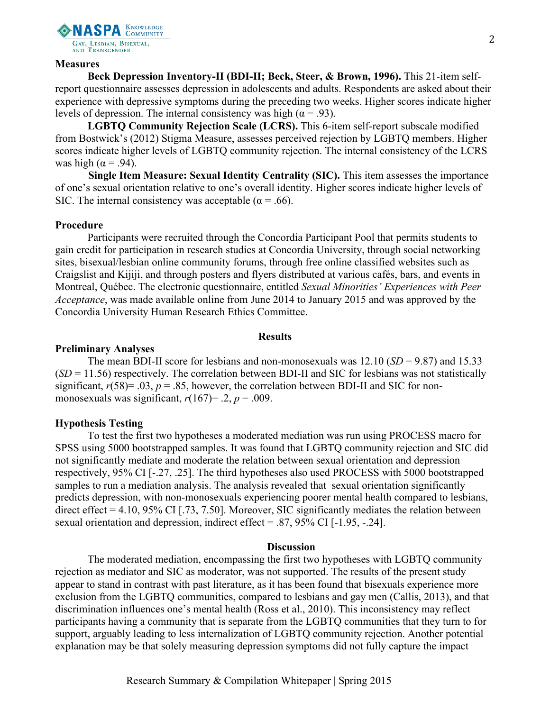

#### **Measures**

**Beck Depression Inventory-II (BDI-II; Beck, Steer, & Brown, 1996).** This 21-item selfreport questionnaire assesses depression in adolescents and adults. Respondents are asked about their experience with depressive symptoms during the preceding two weeks. Higher scores indicate higher levels of depression. The internal consistency was high ( $\alpha$  = .93).

**LGBTQ Community Rejection Scale (LCRS).** This 6-item self-report subscale modified from Bostwick's (2012) Stigma Measure, assesses perceived rejection by LGBTQ members. Higher scores indicate higher levels of LGBTQ community rejection. The internal consistency of the LCRS was high ( $\alpha$  = .94).

**Single Item Measure: Sexual Identity Centrality (SIC).** This item assesses the importance of one's sexual orientation relative to one's overall identity. Higher scores indicate higher levels of SIC. The internal consistency was acceptable ( $\alpha$  = .66).

#### **Procedure**

Participants were recruited through the Concordia Participant Pool that permits students to gain credit for participation in research studies at Concordia University, through social networking sites, bisexual/lesbian online community forums, through free online classified websites such as Craigslist and Kijiji, and through posters and flyers distributed at various cafés, bars, and events in Montreal, Québec. The electronic questionnaire, entitled *Sexual Minorities' Experiences with Peer Acceptance*, was made available online from June 2014 to January 2015 and was approved by the Concordia University Human Research Ethics Committee.

#### **Results**

#### **Preliminary Analyses**

The mean BDI-II score for lesbians and non-monosexuals was  $12.10$  (*SD* = 9.87) and 15.33  $(SD = 11.56)$  respectively. The correlation between BDI-II and SIC for lesbians was not statistically significant,  $r(58) = .03$ ,  $p = .85$ , however, the correlation between BDI-II and SIC for nonmonosexuals was significant,  $r(167) = .2$ ,  $p = .009$ .

#### **Hypothesis Testing**

To test the first two hypotheses a moderated mediation was run using PROCESS macro for SPSS using 5000 bootstrapped samples. It was found that LGBTQ community rejection and SIC did not significantly mediate and moderate the relation between sexual orientation and depression respectively, 95% CI [-.27, .25]. The third hypotheses also used PROCESS with 5000 bootstrapped samples to run a mediation analysis. The analysis revealed that sexual orientation significantly predicts depression, with non-monosexuals experiencing poorer mental health compared to lesbians, direct effect = 4.10, 95% CI [.73, 7.50]. Moreover, SIC significantly mediates the relation between sexual orientation and depression, indirect effect = .87, 95% CI [-1.95, -.24].

#### **Discussion**

The moderated mediation, encompassing the first two hypotheses with LGBTQ community rejection as mediator and SIC as moderator, was not supported. The results of the present study appear to stand in contrast with past literature, as it has been found that bisexuals experience more exclusion from the LGBTQ communities, compared to lesbians and gay men (Callis, 2013), and that discrimination influences one's mental health (Ross et al., 2010). This inconsistency may reflect participants having a community that is separate from the LGBTQ communities that they turn to for support, arguably leading to less internalization of LGBTQ community rejection. Another potential explanation may be that solely measuring depression symptoms did not fully capture the impact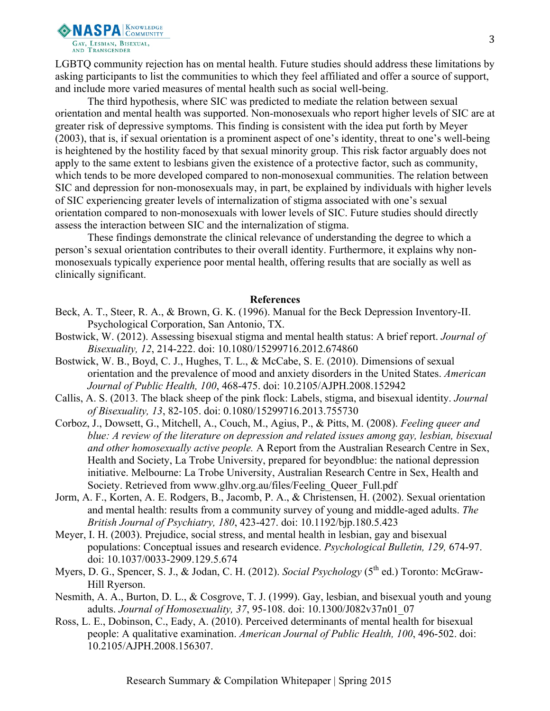

LGBTQ community rejection has on mental health. Future studies should address these limitations by asking participants to list the communities to which they feel affiliated and offer a source of support, and include more varied measures of mental health such as social well-being.

The third hypothesis, where SIC was predicted to mediate the relation between sexual orientation and mental health was supported. Non-monosexuals who report higher levels of SIC are at greater risk of depressive symptoms. This finding is consistent with the idea put forth by Meyer (2003), that is, if sexual orientation is a prominent aspect of one's identity, threat to one's well-being is heightened by the hostility faced by that sexual minority group. This risk factor arguably does not apply to the same extent to lesbians given the existence of a protective factor, such as community, which tends to be more developed compared to non-monosexual communities. The relation between SIC and depression for non-monosexuals may, in part, be explained by individuals with higher levels of SIC experiencing greater levels of internalization of stigma associated with one's sexual orientation compared to non-monosexuals with lower levels of SIC. Future studies should directly assess the interaction between SIC and the internalization of stigma.

These findings demonstrate the clinical relevance of understanding the degree to which a person's sexual orientation contributes to their overall identity. Furthermore, it explains why nonmonosexuals typically experience poor mental health, offering results that are socially as well as clinically significant.

- Beck, A. T., Steer, R. A., & Brown, G. K. (1996). Manual for the Beck Depression Inventory-II. Psychological Corporation, San Antonio, TX.
- Bostwick, W. (2012). Assessing bisexual stigma and mental health status: A brief report. *Journal of Bisexuality, 12*, 214-222. doi: 10.1080/15299716.2012.674860
- Bostwick, W. B., Boyd, C. J., Hughes, T. L., & McCabe, S. E. (2010). Dimensions of sexual orientation and the prevalence of mood and anxiety disorders in the United States. *American Journal of Public Health, 100*, 468-475. doi: 10.2105/AJPH.2008.152942
- Callis, A. S. (2013. The black sheep of the pink flock: Labels, stigma, and bisexual identity. *Journal of Bisexuality, 13*, 82-105. doi: 0.1080/15299716.2013.755730
- Corboz, J., Dowsett, G., Mitchell, A., Couch, M., Agius, P., & Pitts, M. (2008). *Feeling queer and blue: A review of the literature on depression and related issues among gay, lesbian, bisexual and other homosexually active people.* A Report from the Australian Research Centre in Sex, Health and Society, La Trobe University, prepared for beyondblue: the national depression initiative. Melbourne: La Trobe University, Australian Research Centre in Sex, Health and Society. Retrieved from www.glhv.org.au/files/Feeling\_Queer\_Full.pdf
- Jorm, A. F., Korten, A. E. Rodgers, B., Jacomb, P. A., & Christensen, H. (2002). Sexual orientation and mental health: results from a community survey of young and middle-aged adults. *The British Journal of Psychiatry, 180*, 423-427. doi: 10.1192/bjp.180.5.423
- Meyer, I. H. (2003). Prejudice, social stress, and mental health in lesbian, gay and bisexual populations: Conceptual issues and research evidence. *Psychological Bulletin, 129,* 674-97. doi: 10.1037/0033-2909.129.5.674
- Myers, D. G., Spencer, S. J., & Jodan, C. H. (2012). *Social Psychology* (5<sup>th</sup> ed.) Toronto: McGraw-Hill Ryerson.
- Nesmith, A. A., Burton, D. L., & Cosgrove, T. J. (1999). Gay, lesbian, and bisexual youth and young adults. *Journal of Homosexuality, 37*, 95-108. doi: 10.1300/J082v37n01\_07
- Ross, L. E., Dobinson, C., Eady, A. (2010). Perceived determinants of mental health for bisexual people: A qualitative examination. *American Journal of Public Health, 100*, 496-502. doi: 10.2105/AJPH.2008.156307.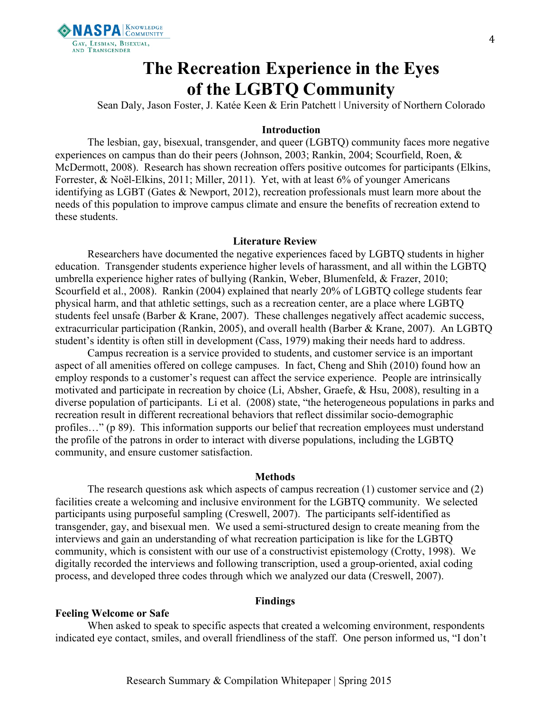

## **The Recreation Experience in the Eyes of the LGBTQ Community**

Sean Daly, Jason Foster, J. Katée Keen & Erin Patchett | University of Northern Colorado

#### **Introduction**

The lesbian, gay, bisexual, transgender, and queer (LGBTQ) community faces more negative experiences on campus than do their peers (Johnson, 2003; Rankin, 2004; Scourfield, Roen, & McDermott, 2008). Research has shown recreation offers positive outcomes for participants (Elkins, Forrester, & Noël-Elkins, 2011; Miller, 2011). Yet, with at least 6% of younger Americans identifying as LGBT (Gates & Newport, 2012), recreation professionals must learn more about the needs of this population to improve campus climate and ensure the benefits of recreation extend to these students.

#### **Literature Review**

Researchers have documented the negative experiences faced by LGBTQ students in higher education. Transgender students experience higher levels of harassment, and all within the LGBTQ umbrella experience higher rates of bullying (Rankin, Weber, Blumenfeld, & Frazer, 2010; Scourfield et al., 2008). Rankin (2004) explained that nearly 20% of LGBTQ college students fear physical harm, and that athletic settings, such as a recreation center, are a place where LGBTQ students feel unsafe (Barber & Krane, 2007). These challenges negatively affect academic success, extracurricular participation (Rankin, 2005), and overall health (Barber & Krane, 2007). An LGBTQ student's identity is often still in development (Cass, 1979) making their needs hard to address.

Campus recreation is a service provided to students, and customer service is an important aspect of all amenities offered on college campuses. In fact, Cheng and Shih (2010) found how an employ responds to a customer's request can affect the service experience. People are intrinsically motivated and participate in recreation by choice (Li, Absher, Graefe, & Hsu, 2008), resulting in a diverse population of participants. Li et al. (2008) state, "the heterogeneous populations in parks and recreation result in different recreational behaviors that reflect dissimilar socio-demographic profiles…" (p 89). This information supports our belief that recreation employees must understand the profile of the patrons in order to interact with diverse populations, including the LGBTQ community, and ensure customer satisfaction.

#### **Methods**

The research questions ask which aspects of campus recreation (1) customer service and (2) facilities create a welcoming and inclusive environment for the LGBTQ community. We selected participants using purposeful sampling (Creswell, 2007). The participants self-identified as transgender, gay, and bisexual men. We used a semi-structured design to create meaning from the interviews and gain an understanding of what recreation participation is like for the LGBTQ community, which is consistent with our use of a constructivist epistemology (Crotty, 1998). We digitally recorded the interviews and following transcription, used a group-oriented, axial coding process, and developed three codes through which we analyzed our data (Creswell, 2007).

#### **Findings**

#### **Feeling Welcome or Safe**

When asked to speak to specific aspects that created a welcoming environment, respondents indicated eye contact, smiles, and overall friendliness of the staff. One person informed us, "I don't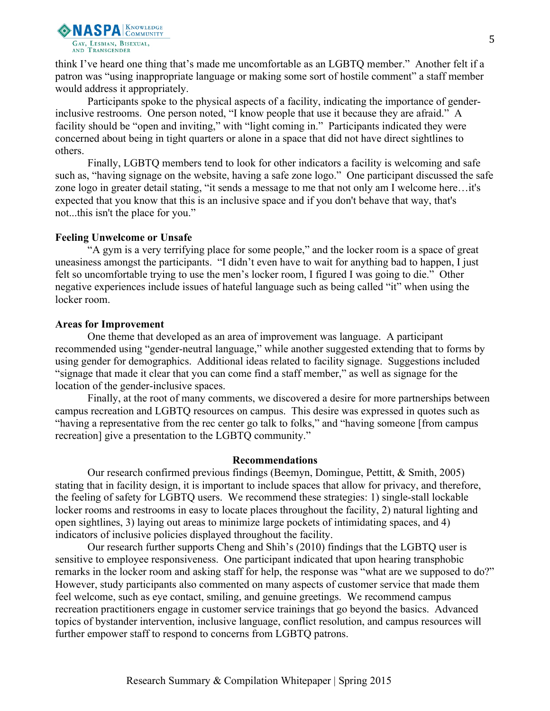

think I've heard one thing that's made me uncomfortable as an LGBTQ member." Another felt if a patron was "using inappropriate language or making some sort of hostile comment" a staff member would address it appropriately.

Participants spoke to the physical aspects of a facility, indicating the importance of genderinclusive restrooms. One person noted, "I know people that use it because they are afraid." A facility should be "open and inviting," with "light coming in." Participants indicated they were concerned about being in tight quarters or alone in a space that did not have direct sightlines to others.

Finally, LGBTQ members tend to look for other indicators a facility is welcoming and safe such as, "having signage on the website, having a safe zone logo." One participant discussed the safe zone logo in greater detail stating, "it sends a message to me that not only am I welcome here…it's expected that you know that this is an inclusive space and if you don't behave that way, that's not...this isn't the place for you."

#### **Feeling Unwelcome or Unsafe**

"A gym is a very terrifying place for some people," and the locker room is a space of great uneasiness amongst the participants. "I didn't even have to wait for anything bad to happen, I just felt so uncomfortable trying to use the men's locker room, I figured I was going to die." Other negative experiences include issues of hateful language such as being called "it" when using the locker room.

#### **Areas for Improvement**

One theme that developed as an area of improvement was language. A participant recommended using "gender-neutral language," while another suggested extending that to forms by using gender for demographics. Additional ideas related to facility signage. Suggestions included "signage that made it clear that you can come find a staff member," as well as signage for the location of the gender-inclusive spaces.

Finally, at the root of many comments, we discovered a desire for more partnerships between campus recreation and LGBTQ resources on campus. This desire was expressed in quotes such as "having a representative from the rec center go talk to folks," and "having someone [from campus recreation] give a presentation to the LGBTQ community."

#### **Recommendations**

Our research confirmed previous findings (Beemyn, Domingue, Pettitt, & Smith, 2005) stating that in facility design, it is important to include spaces that allow for privacy, and therefore, the feeling of safety for LGBTQ users. We recommend these strategies: 1) single-stall lockable locker rooms and restrooms in easy to locate places throughout the facility, 2) natural lighting and open sightlines, 3) laying out areas to minimize large pockets of intimidating spaces, and 4) indicators of inclusive policies displayed throughout the facility.

Our research further supports Cheng and Shih's (2010) findings that the LGBTQ user is sensitive to employee responsiveness. One participant indicated that upon hearing transphobic remarks in the locker room and asking staff for help, the response was "what are we supposed to do?" However, study participants also commented on many aspects of customer service that made them feel welcome, such as eye contact, smiling, and genuine greetings. We recommend campus recreation practitioners engage in customer service trainings that go beyond the basics. Advanced topics of bystander intervention, inclusive language, conflict resolution, and campus resources will further empower staff to respond to concerns from LGBTQ patrons.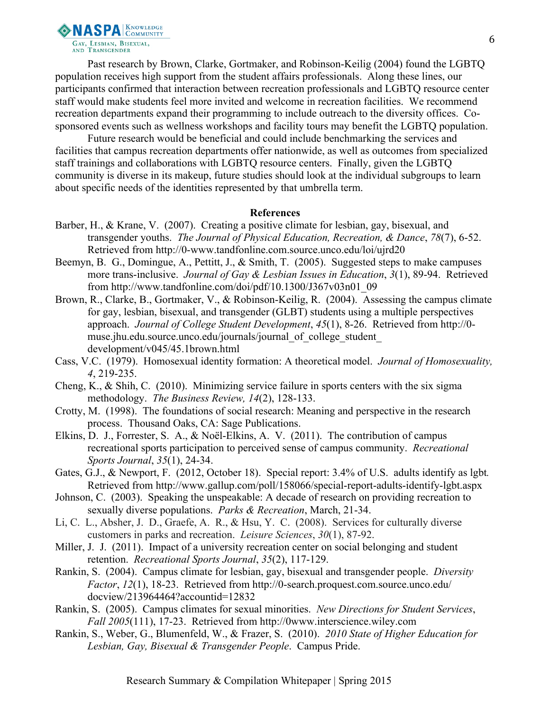**NASPA ENDURITY** GAY, LESBIAN, BISEXUAL,<br>AND TRANSGENDER

Past research by Brown, Clarke, Gortmaker, and Robinson-Keilig (2004) found the LGBTQ population receives high support from the student affairs professionals. Along these lines, our participants confirmed that interaction between recreation professionals and LGBTQ resource center staff would make students feel more invited and welcome in recreation facilities. We recommend recreation departments expand their programming to include outreach to the diversity offices. Cosponsored events such as wellness workshops and facility tours may benefit the LGBTQ population.

Future research would be beneficial and could include benchmarking the services and facilities that campus recreation departments offer nationwide, as well as outcomes from specialized staff trainings and collaborations with LGBTQ resource centers. Finally, given the LGBTQ community is diverse in its makeup, future studies should look at the individual subgroups to learn about specific needs of the identities represented by that umbrella term.

- Barber, H., & Krane, V. (2007). Creating a positive climate for lesbian, gay, bisexual, and transgender youths. *The Journal of Physical Education, Recreation, & Dance*, *78*(7), 6-52. Retrieved from http://0-www.tandfonline.com.source.unco.edu/loi/ujrd20
- Beemyn, B. G., Domingue, A., Pettitt, J., & Smith, T. (2005). Suggested steps to make campuses more trans-inclusive. *Journal of Gay & Lesbian Issues in Education*, *3*(1), 89-94. Retrieved from http://www.tandfonline.com/doi/pdf/10.1300/J367v03n01\_09
- Brown, R., Clarke, B., Gortmaker, V., & Robinson-Keilig, R. (2004). Assessing the campus climate for gay, lesbian, bisexual, and transgender (GLBT) students using a multiple perspectives approach. *Journal of College Student Development*, *45*(1), 8-26. Retrieved from http://0 muse.jhu.edu.source.unco.edu/journals/journal\_of\_college\_student\_ development/v045/45.1brown.html
- Cass, V.C. (1979). Homosexual identity formation: A theoretical model. *Journal of Homosexuality, 4*, 219-235.
- Cheng, K., & Shih, C. (2010). Minimizing service failure in sports centers with the six sigma methodology. *The Business Review, 14*(2), 128-133.
- Crotty, M. (1998). The foundations of social research: Meaning and perspective in the research process. Thousand Oaks, CA: Sage Publications.
- Elkins, D. J., Forrester, S. A., & Noël-Elkins, A. V. (2011). The contribution of campus recreational sports participation to perceived sense of campus community. *Recreational Sports Journal*, *35*(1), 24-34.
- Gates, G.J., & Newport, F. (2012, October 18). Special report: 3.4% of U.S. adults identify as lgbt*.*  Retrieved from http://www.gallup.com/poll/158066/special-report-adults-identify-lgbt.aspx
- Johnson, C. (2003). Speaking the unspeakable: A decade of research on providing recreation to sexually diverse populations. *Parks & Recreation*, March, 21-34.
- Li, C. L., Absher, J. D., Graefe, A. R., & Hsu, Y. C. (2008). Services for culturally diverse customers in parks and recreation. *Leisure Sciences*, *30*(1), 87-92.
- Miller, J. J. (2011). Impact of a university recreation center on social belonging and student retention. *Recreational Sports Journal*, *35*(2), 117-129.
- Rankin, S. (2004). Campus climate for lesbian, gay, bisexual and transgender people. *Diversity Factor*, *12*(1), 18-23. Retrieved from http://0-search.proquest.com.source.unco.edu/ docview/213964464?accountid=12832
- Rankin, S. (2005). Campus climates for sexual minorities. *New Directions for Student Services*, *Fall 2005*(111), 17-23. Retrieved from http://0www.interscience.wiley.com
- Rankin, S., Weber, G., Blumenfeld, W., & Frazer, S. (2010). *2010 State of Higher Education for Lesbian, Gay, Bisexual & Transgender People*. Campus Pride.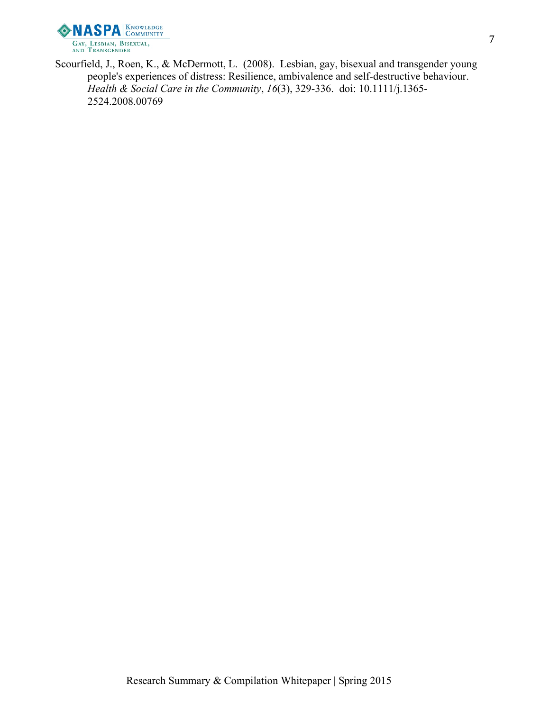

Scourfield, J., Roen, K., & McDermott, L. (2008). Lesbian, gay, bisexual and transgender young people's experiences of distress: Resilience, ambivalence and self-destructive behaviour. *Health & Social Care in the Community*, *16*(3), 329-336. doi: 10.1111/j.1365- 2524.2008.00769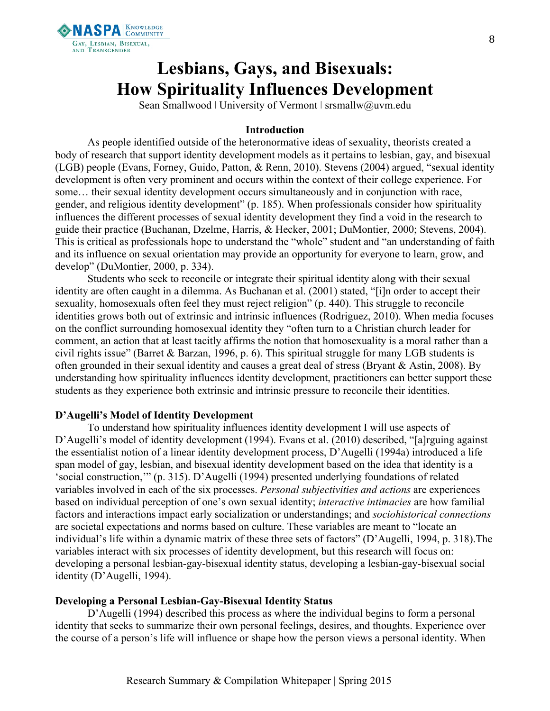

# **Lesbians, Gays, and Bisexuals: How Spirituality Influences Development**

Sean Smallwood | University of Vermont | srsmallw@uvm.edu

### **Introduction**

As people identified outside of the heteronormative ideas of sexuality, theorists created a body of research that support identity development models as it pertains to lesbian, gay, and bisexual (LGB) people (Evans, Forney, Guido, Patton, & Renn, 2010). Stevens (2004) argued, "sexual identity development is often very prominent and occurs within the context of their college experience. For some… their sexual identity development occurs simultaneously and in conjunction with race, gender, and religious identity development" (p. 185). When professionals consider how spirituality influences the different processes of sexual identity development they find a void in the research to guide their practice (Buchanan, Dzelme, Harris, & Hecker, 2001; DuMontier, 2000; Stevens, 2004). This is critical as professionals hope to understand the "whole" student and "an understanding of faith and its influence on sexual orientation may provide an opportunity for everyone to learn, grow, and develop" (DuMontier, 2000, p. 334).

Students who seek to reconcile or integrate their spiritual identity along with their sexual identity are often caught in a dilemma. As Buchanan et al. (2001) stated, "[i]n order to accept their sexuality, homosexuals often feel they must reject religion" (p. 440). This struggle to reconcile identities grows both out of extrinsic and intrinsic influences (Rodriguez, 2010). When media focuses on the conflict surrounding homosexual identity they "often turn to a Christian church leader for comment, an action that at least tacitly affirms the notion that homosexuality is a moral rather than a civil rights issue" (Barret & Barzan, 1996, p. 6). This spiritual struggle for many LGB students is often grounded in their sexual identity and causes a great deal of stress (Bryant & Astin, 2008). By understanding how spirituality influences identity development, practitioners can better support these students as they experience both extrinsic and intrinsic pressure to reconcile their identities.

## **D'Augelli's Model of Identity Development**

To understand how spirituality influences identity development I will use aspects of D'Augelli's model of identity development (1994). Evans et al. (2010) described, "[a]rguing against the essentialist notion of a linear identity development process, D'Augelli (1994a) introduced a life span model of gay, lesbian, and bisexual identity development based on the idea that identity is a 'social construction,'" (p. 315). D'Augelli (1994) presented underlying foundations of related variables involved in each of the six processes. *Personal subjectivities and actions* are experiences based on individual perception of one's own sexual identity; *interactive intimacies* are how familial factors and interactions impact early socialization or understandings; and *sociohistorical connections* are societal expectations and norms based on culture. These variables are meant to "locate an individual's life within a dynamic matrix of these three sets of factors" (D'Augelli, 1994, p. 318).The variables interact with six processes of identity development, but this research will focus on: developing a personal lesbian-gay-bisexual identity status, developing a lesbian-gay-bisexual social identity (D'Augelli, 1994).

## **Developing a Personal Lesbian-Gay-Bisexual Identity Status**

D'Augelli (1994) described this process as where the individual begins to form a personal identity that seeks to summarize their own personal feelings, desires, and thoughts. Experience over the course of a person's life will influence or shape how the person views a personal identity. When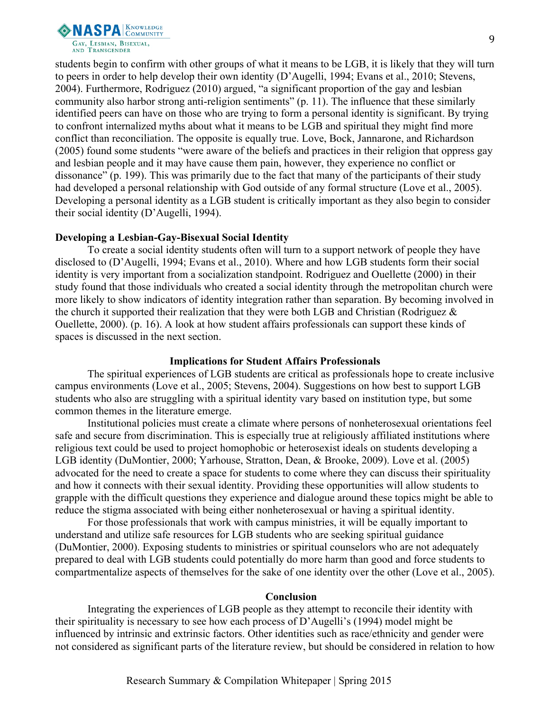

students begin to confirm with other groups of what it means to be LGB, it is likely that they will turn to peers in order to help develop their own identity (D'Augelli, 1994; Evans et al., 2010; Stevens, 2004). Furthermore, Rodriguez (2010) argued, "a significant proportion of the gay and lesbian community also harbor strong anti-religion sentiments" (p. 11). The influence that these similarly identified peers can have on those who are trying to form a personal identity is significant. By trying to confront internalized myths about what it means to be LGB and spiritual they might find more conflict than reconciliation. The opposite is equally true. Love, Bock, Jannarone, and Richardson (2005) found some students "were aware of the beliefs and practices in their religion that oppress gay and lesbian people and it may have cause them pain, however, they experience no conflict or dissonance" (p. 199). This was primarily due to the fact that many of the participants of their study had developed a personal relationship with God outside of any formal structure (Love et al., 2005). Developing a personal identity as a LGB student is critically important as they also begin to consider their social identity (D'Augelli, 1994).

#### **Developing a Lesbian-Gay-Bisexual Social Identity**

To create a social identity students often will turn to a support network of people they have disclosed to (D'Augelli, 1994; Evans et al., 2010). Where and how LGB students form their social identity is very important from a socialization standpoint. Rodriguez and Ouellette (2000) in their study found that those individuals who created a social identity through the metropolitan church were more likely to show indicators of identity integration rather than separation. By becoming involved in the church it supported their realization that they were both LGB and Christian (Rodriguez  $\&$ Ouellette, 2000). (p. 16). A look at how student affairs professionals can support these kinds of spaces is discussed in the next section.

## **Implications for Student Affairs Professionals**

The spiritual experiences of LGB students are critical as professionals hope to create inclusive campus environments (Love et al., 2005; Stevens, 2004). Suggestions on how best to support LGB students who also are struggling with a spiritual identity vary based on institution type, but some common themes in the literature emerge.

Institutional policies must create a climate where persons of nonheterosexual orientations feel safe and secure from discrimination. This is especially true at religiously affiliated institutions where religious text could be used to project homophobic or heterosexist ideals on students developing a LGB identity (DuMontier, 2000; Yarhouse, Stratton, Dean, & Brooke, 2009). Love et al. (2005) advocated for the need to create a space for students to come where they can discuss their spirituality and how it connects with their sexual identity. Providing these opportunities will allow students to grapple with the difficult questions they experience and dialogue around these topics might be able to reduce the stigma associated with being either nonheterosexual or having a spiritual identity.

For those professionals that work with campus ministries, it will be equally important to understand and utilize safe resources for LGB students who are seeking spiritual guidance (DuMontier, 2000). Exposing students to ministries or spiritual counselors who are not adequately prepared to deal with LGB students could potentially do more harm than good and force students to compartmentalize aspects of themselves for the sake of one identity over the other (Love et al., 2005).

## **Conclusion**

Integrating the experiences of LGB people as they attempt to reconcile their identity with their spirituality is necessary to see how each process of D'Augelli's (1994) model might be influenced by intrinsic and extrinsic factors. Other identities such as race/ethnicity and gender were not considered as significant parts of the literature review, but should be considered in relation to how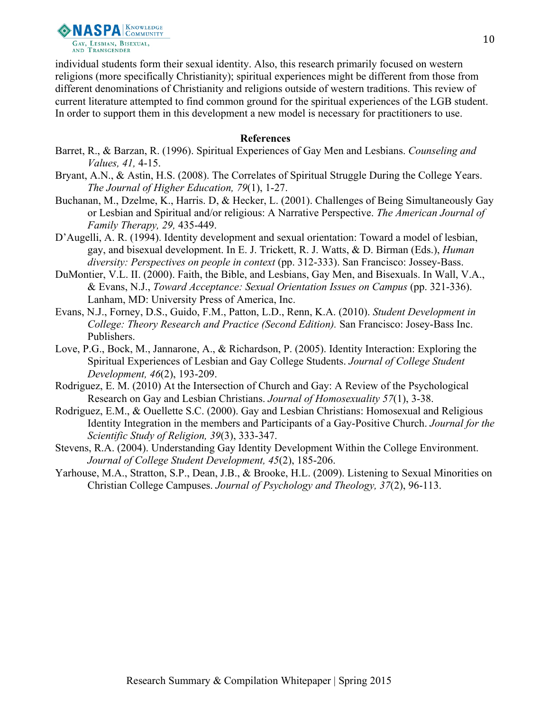

individual students form their sexual identity. Also, this research primarily focused on western religions (more specifically Christianity); spiritual experiences might be different from those from different denominations of Christianity and religions outside of western traditions. This review of current literature attempted to find common ground for the spiritual experiences of the LGB student. In order to support them in this development a new model is necessary for practitioners to use.

- Barret, R., & Barzan, R. (1996). Spiritual Experiences of Gay Men and Lesbians. *Counseling and Values, 41,* 4-15.
- Bryant, A.N., & Astin, H.S. (2008). The Correlates of Spiritual Struggle During the College Years. *The Journal of Higher Education, 79*(1), 1-27.
- Buchanan, M., Dzelme, K., Harris. D, & Hecker, L. (2001). Challenges of Being Simultaneously Gay or Lesbian and Spiritual and/or religious: A Narrative Perspective. *The American Journal of Family Therapy, 29,* 435-449.
- D'Augelli, A. R. (1994). Identity development and sexual orientation: Toward a model of lesbian, gay, and bisexual development. In E. J. Trickett, R. J. Watts, & D. Birman (Eds.), *Human diversity: Perspectives on people in context* (pp. 312-333). San Francisco: Jossey-Bass.
- DuMontier, V.L. II. (2000). Faith, the Bible, and Lesbians, Gay Men, and Bisexuals. In Wall, V.A., & Evans, N.J., *Toward Acceptance: Sexual Orientation Issues on Campus* (pp. 321-336). Lanham, MD: University Press of America, Inc.
- Evans, N.J., Forney, D.S., Guido, F.M., Patton, L.D., Renn, K.A. (2010). *Student Development in College: Theory Research and Practice (Second Edition).* San Francisco: Josey-Bass Inc. Publishers.
- Love, P.G., Bock, M., Jannarone, A., & Richardson, P. (2005). Identity Interaction: Exploring the Spiritual Experiences of Lesbian and Gay College Students. *Journal of College Student Development, 46*(2), 193-209.
- Rodriguez, E. M. (2010) At the Intersection of Church and Gay: A Review of the Psychological Research on Gay and Lesbian Christians. *Journal of Homosexuality 57*(1), 3-38.
- Rodriguez, E.M., & Ouellette S.C. (2000). Gay and Lesbian Christians: Homosexual and Religious Identity Integration in the members and Participants of a Gay-Positive Church. *Journal for the Scientific Study of Religion, 39*(3), 333-347.
- Stevens, R.A. (2004). Understanding Gay Identity Development Within the College Environment. *Journal of College Student Development, 45*(2), 185-206.
- Yarhouse, M.A., Stratton, S.P., Dean, J.B., & Brooke, H.L. (2009). Listening to Sexual Minorities on Christian College Campuses. *Journal of Psychology and Theology, 37*(2), 96-113.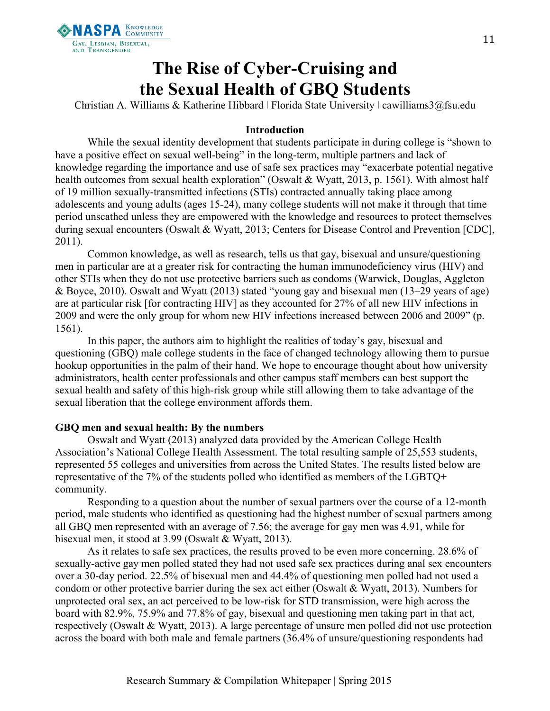

## **The Rise of Cyber-Cruising and the Sexual Health of GBQ Students**

Christian A. Williams & Katherine Hibbard ǀ Florida State University ǀ cawilliams3@fsu.edu

## **Introduction**

While the sexual identity development that students participate in during college is "shown to have a positive effect on sexual well-being" in the long-term, multiple partners and lack of knowledge regarding the importance and use of safe sex practices may "exacerbate potential negative health outcomes from sexual health exploration" (Oswalt & Wyatt, 2013, p. 1561). With almost half of 19 million sexually-transmitted infections (STIs) contracted annually taking place among adolescents and young adults (ages 15-24), many college students will not make it through that time period unscathed unless they are empowered with the knowledge and resources to protect themselves during sexual encounters (Oswalt & Wyatt, 2013; Centers for Disease Control and Prevention [CDC], 2011).

Common knowledge, as well as research, tells us that gay, bisexual and unsure/questioning men in particular are at a greater risk for contracting the human immunodeficiency virus (HIV) and other STIs when they do not use protective barriers such as condoms (Warwick, Douglas, Aggleton & Boyce, 2010). Oswalt and Wyatt (2013) stated "young gay and bisexual men (13–29 years of age) are at particular risk [for contracting HIV] as they accounted for 27% of all new HIV infections in 2009 and were the only group for whom new HIV infections increased between 2006 and 2009" (p. 1561).

In this paper, the authors aim to highlight the realities of today's gay, bisexual and questioning (GBQ) male college students in the face of changed technology allowing them to pursue hookup opportunities in the palm of their hand. We hope to encourage thought about how university administrators, health center professionals and other campus staff members can best support the sexual health and safety of this high-risk group while still allowing them to take advantage of the sexual liberation that the college environment affords them.

## **GBQ men and sexual health: By the numbers**

Oswalt and Wyatt (2013) analyzed data provided by the American College Health Association's National College Health Assessment. The total resulting sample of 25,553 students, represented 55 colleges and universities from across the United States. The results listed below are representative of the 7% of the students polled who identified as members of the LGBTQ+ community.

Responding to a question about the number of sexual partners over the course of a 12-month period, male students who identified as questioning had the highest number of sexual partners among all GBQ men represented with an average of 7.56; the average for gay men was 4.91, while for bisexual men, it stood at 3.99 (Oswalt & Wyatt, 2013).

As it relates to safe sex practices, the results proved to be even more concerning. 28.6% of sexually-active gay men polled stated they had not used safe sex practices during anal sex encounters over a 30-day period. 22.5% of bisexual men and 44.4% of questioning men polled had not used a condom or other protective barrier during the sex act either (Oswalt & Wyatt, 2013). Numbers for unprotected oral sex, an act perceived to be low-risk for STD transmission, were high across the board with 82.9%, 75.9% and 77.8% of gay, bisexual and questioning men taking part in that act, respectively (Oswalt & Wyatt, 2013). A large percentage of unsure men polled did not use protection across the board with both male and female partners (36.4% of unsure/questioning respondents had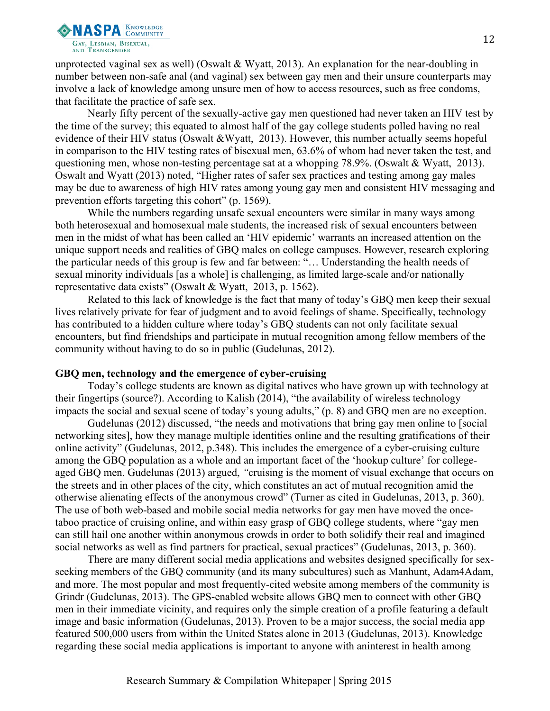

unprotected vaginal sex as well) (Oswalt & Wyatt, 2013). An explanation for the near-doubling in number between non-safe anal (and vaginal) sex between gay men and their unsure counterparts may involve a lack of knowledge among unsure men of how to access resources, such as free condoms, that facilitate the practice of safe sex.

Nearly fifty percent of the sexually-active gay men questioned had never taken an HIV test by the time of the survey; this equated to almost half of the gay college students polled having no real evidence of their HIV status (Oswalt &Wyatt, 2013). However, this number actually seems hopeful in comparison to the HIV testing rates of bisexual men, 63.6% of whom had never taken the test, and questioning men, whose non-testing percentage sat at a whopping 78.9%. (Oswalt & Wyatt, 2013). Oswalt and Wyatt (2013) noted, "Higher rates of safer sex practices and testing among gay males may be due to awareness of high HIV rates among young gay men and consistent HIV messaging and prevention efforts targeting this cohort" (p. 1569).

While the numbers regarding unsafe sexual encounters were similar in many ways among both heterosexual and homosexual male students, the increased risk of sexual encounters between men in the midst of what has been called an 'HIV epidemic' warrants an increased attention on the unique support needs and realities of GBQ males on college campuses. However, research exploring the particular needs of this group is few and far between: "… Understanding the health needs of sexual minority individuals [as a whole] is challenging, as limited large-scale and/or nationally representative data exists" (Oswalt & Wyatt, 2013, p. 1562).

Related to this lack of knowledge is the fact that many of today's GBQ men keep their sexual lives relatively private for fear of judgment and to avoid feelings of shame. Specifically, technology has contributed to a hidden culture where today's GBQ students can not only facilitate sexual encounters, but find friendships and participate in mutual recognition among fellow members of the community without having to do so in public (Gudelunas, 2012).

## **GBQ men, technology and the emergence of cyber-cruising**

Today's college students are known as digital natives who have grown up with technology at their fingertips (source?). According to Kalish (2014), "the availability of wireless technology impacts the social and sexual scene of today's young adults," (p. 8) and GBQ men are no exception.

Gudelunas (2012) discussed, "the needs and motivations that bring gay men online to [social networking sites], how they manage multiple identities online and the resulting gratifications of their online activity" (Gudelunas, 2012, p.348). This includes the emergence of a cyber-cruising culture among the GBQ population as a whole and an important facet of the 'hookup culture' for collegeaged GBQ men. Gudelunas (2013) argued, *"*cruising is the moment of visual exchange that occurs on the streets and in other places of the city, which constitutes an act of mutual recognition amid the otherwise alienating effects of the anonymous crowd" (Turner as cited in Gudelunas, 2013, p. 360). The use of both web-based and mobile social media networks for gay men have moved the oncetaboo practice of cruising online, and within easy grasp of GBQ college students, where "gay men can still hail one another within anonymous crowds in order to both solidify their real and imagined social networks as well as find partners for practical, sexual practices" (Gudelunas, 2013, p. 360).

There are many different social media applications and websites designed specifically for sexseeking members of the GBQ community (and its many subcultures) such as Manhunt, Adam4Adam, and more. The most popular and most frequently-cited website among members of the community is Grindr (Gudelunas, 2013). The GPS-enabled website allows GBQ men to connect with other GBQ men in their immediate vicinity, and requires only the simple creation of a profile featuring a default image and basic information (Gudelunas, 2013). Proven to be a major success, the social media app featured 500,000 users from within the United States alone in 2013 (Gudelunas, 2013). Knowledge regarding these social media applications is important to anyone with aninterest in health among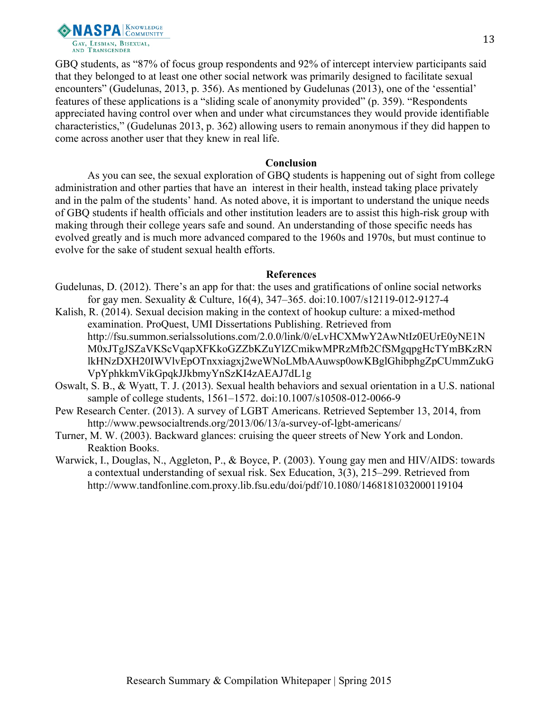

GBQ students, as "87% of focus group respondents and 92% of intercept interview participants said that they belonged to at least one other social network was primarily designed to facilitate sexual encounters" (Gudelunas, 2013, p. 356). As mentioned by Gudelunas (2013), one of the 'essential' features of these applications is a "sliding scale of anonymity provided" (p. 359). "Respondents appreciated having control over when and under what circumstances they would provide identifiable characteristics," (Gudelunas 2013, p. 362) allowing users to remain anonymous if they did happen to come across another user that they knew in real life.

#### **Conclusion**

As you can see, the sexual exploration of GBQ students is happening out of sight from college administration and other parties that have an interest in their health, instead taking place privately and in the palm of the students' hand. As noted above, it is important to understand the unique needs of GBQ students if health officials and other institution leaders are to assist this high-risk group with making through their college years safe and sound. An understanding of those specific needs has evolved greatly and is much more advanced compared to the 1960s and 1970s, but must continue to evolve for the sake of student sexual health efforts.

- Gudelunas, D. (2012). There's an app for that: the uses and gratifications of online social networks for gay men. Sexuality & Culture, 16(4), 347–365. doi:10.1007/s12119-012-9127-4
- Kalish, R. (2014). Sexual decision making in the context of hookup culture: a mixed-method examination. ProQuest, UMI Dissertations Publishing. Retrieved from http://fsu.summon.serialssolutions.com/2.0.0/link/0/eLvHCXMwY2AwNtIz0EUrE0yNE1N M0xJTgJSZaVKScVqapXFKkoGZZbKZuYlZCmikwMPRzMfb2CfSMgqpgHcTYmBKzRN lkHNzDXH20IWVlvEpOTnxxiagxj2weWNoLMbAAuwsp0owKBglGhibphgZpCUmmZukG VpYphkkmVikGpqkJJkbmyYnSzKI4zAEAJ7dL1g
- Oswalt, S. B., & Wyatt, T. J. (2013). Sexual health behaviors and sexual orientation in a U.S. national sample of college students, 1561–1572. doi:10.1007/s10508-012-0066-9
- Pew Research Center. (2013). A survey of LGBT Americans. Retrieved September 13, 2014, from http://www.pewsocialtrends.org/2013/06/13/a-survey-of-lgbt-americans/
- Turner, M. W. (2003). Backward glances: cruising the queer streets of New York and London. Reaktion Books.
- Warwick, I., Douglas, N., Aggleton, P., & Boyce, P. (2003). Young gay men and HIV/AIDS: towards a contextual understanding of sexual risk. Sex Education, 3(3), 215–299. Retrieved from http://www.tandfonline.com.proxy.lib.fsu.edu/doi/pdf/10.1080/1468181032000119104